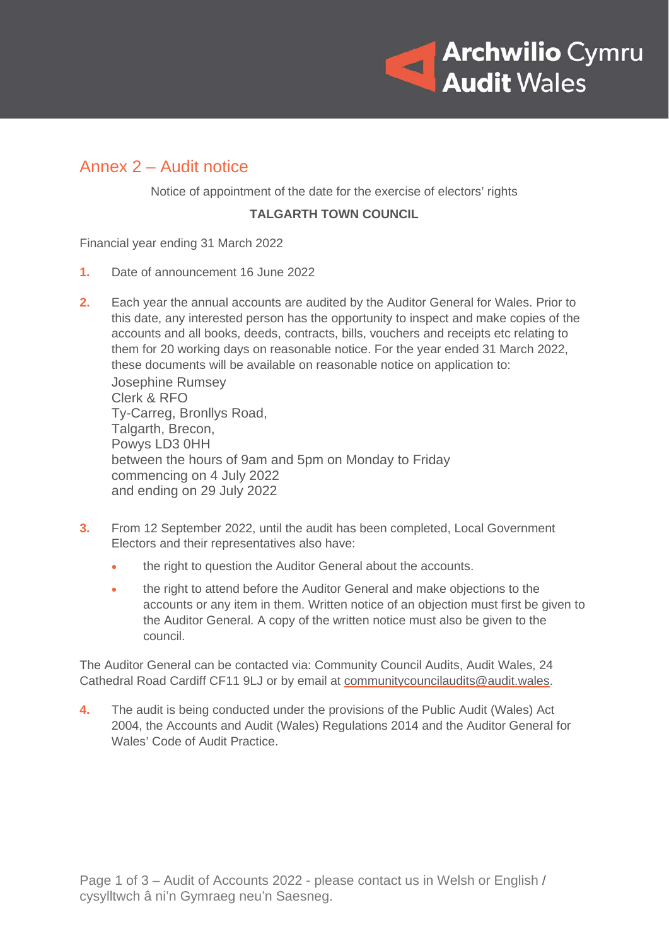

## Annex 2 – Audit notice

Notice of appointment of the date for the exercise of electors' rights

#### **TALGARTH TOWN COUNCIL**

Financial year ending 31 March 2022

- **1.** Date of announcement 16 June 2022
- **2.** Each year the annual accounts are audited by the Auditor General for Wales. Prior to this date, any interested person has the opportunity to inspect and make copies of the accounts and all books, deeds, contracts, bills, vouchers and receipts etc relating to them for 20 working days on reasonable notice. For the year ended 31 March 2022, these documents will be available on reasonable notice on application to: Josephine Rumsey

Clerk & RFO Ty-Carreg, Bronllys Road, Talgarth, Brecon, Powys LD3 0HH between the hours of 9am and 5pm on Monday to Friday commencing on 4 July 2022 and ending on 29 July 2022

- **3.** From 12 September 2022, until the audit has been completed, Local Government Electors and their representatives also have:
	- the right to question the Auditor General about the accounts.
	- the right to attend before the Auditor General and make objections to the accounts or any item in them. Written notice of an objection must first be given to the Auditor General. A copy of the written notice must also be given to the council.

The Auditor General can be contacted via: Community Council Audits, Audit Wales, 24 Cathedral Road Cardiff CF11 9LJ or by email at [communitycouncilaudits@audit.wales.](mailto:communitycouncilaudits@audit.wales)

**4.** The audit is being conducted under the provisions of the Public Audit (Wales) Act 2004, the Accounts and Audit (Wales) Regulations 2014 and the Auditor General for Wales' Code of Audit Practice.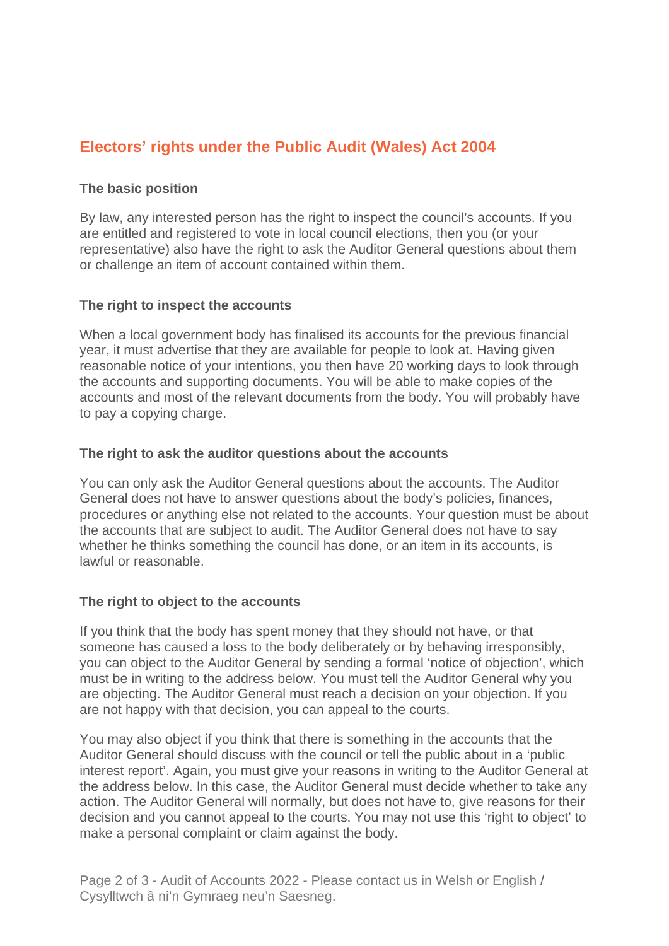# **Electors' rights under the Public Audit (Wales) Act 2004**

### **The basic position**

By law, any interested person has the right to inspect the council's accounts. If you are entitled and registered to vote in local council elections, then you (or your representative) also have the right to ask the Auditor General questions about them or challenge an item of account contained within them.

#### **The right to inspect the accounts**

When a local government body has finalised its accounts for the previous financial year, it must advertise that they are available for people to look at. Having given reasonable notice of your intentions, you then have 20 working days to look through the accounts and supporting documents. You will be able to make copies of the accounts and most of the relevant documents from the body. You will probably have to pay a copying charge.

#### **The right to ask the auditor questions about the accounts**

You can only ask the Auditor General questions about the accounts. The Auditor General does not have to answer questions about the body's policies, finances, procedures or anything else not related to the accounts. Your question must be about the accounts that are subject to audit. The Auditor General does not have to say whether he thinks something the council has done, or an item in its accounts, is lawful or reasonable.

#### **The right to object to the accounts**

If you think that the body has spent money that they should not have, or that someone has caused a loss to the body deliberately or by behaving irresponsibly, you can object to the Auditor General by sending a formal 'notice of objection', which must be in writing to the address below. You must tell the Auditor General why you are objecting. The Auditor General must reach a decision on your objection. If you are not happy with that decision, you can appeal to the courts.

You may also object if you think that there is something in the accounts that the Auditor General should discuss with the council or tell the public about in a 'public interest report'. Again, you must give your reasons in writing to the Auditor General at the address below. In this case, the Auditor General must decide whether to take any action. The Auditor General will normally, but does not have to, give reasons for their decision and you cannot appeal to the courts. You may not use this 'right to object' to make a personal complaint or claim against the body.